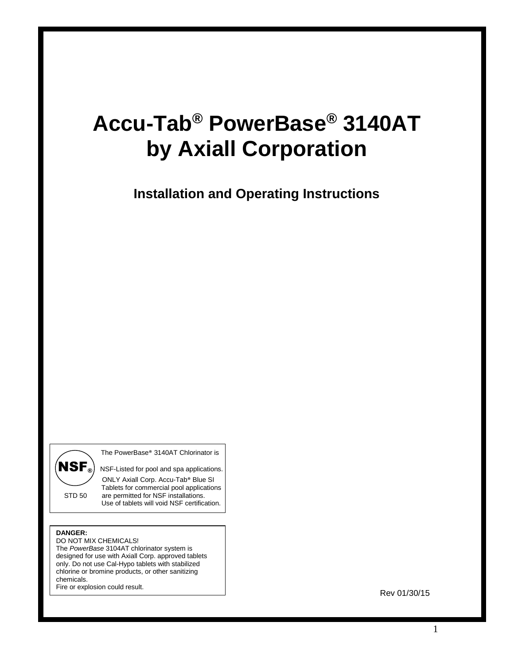# **Accu-Tab® PowerBase® 3140AT by Axiall Corporation**

**Installation and Operating Instructions**

The PowerBase® 3140AT Chlorinator is

 $\left(\mathbf{NSF}_{\odot}\right)$  NSF-Listed for pool and spa applications. ONLY Axiall Corp. Accu-Tab® Blue SI Tablets for commercial pool applications<br>STD 50 are permitted for NSF installations. are permitted for NSF installations. Use of tablets will void NSF certification.  $\overline{a}$ 

#### **DANGER:**

DO NOT MIX CHEMICALS! The *PowerBase* 3104AT chlorinator system is designed for use with Axiall Corp. approved tablets only. Do not use Cal-Hypo tablets with stabilized chlorine or bromine products, or other sanitizing chemicals.

Fire or explosion could result.

Rev 01/30/15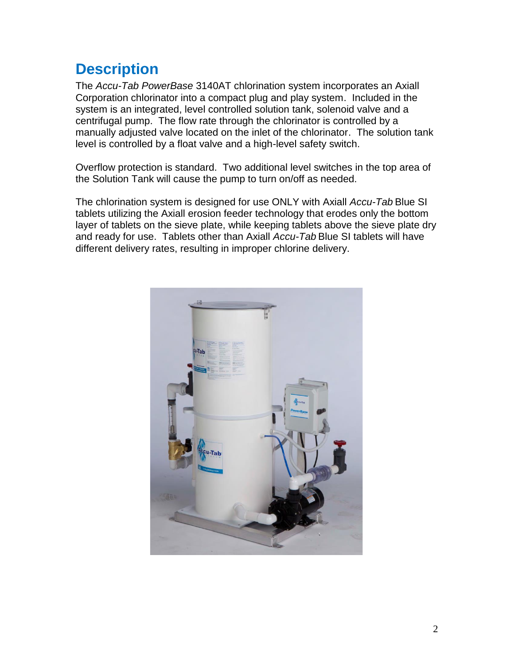### **Description**

The *Accu-Tab PowerBase* 3140AT chlorination system incorporates an Axiall Corporation chlorinator into a compact plug and play system. Included in the system is an integrated, level controlled solution tank, solenoid valve and a centrifugal pump. The flow rate through the chlorinator is controlled by a manually adjusted valve located on the inlet of the chlorinator. The solution tank level is controlled by a float valve and a high-level safety switch.

Overflow protection is standard. Two additional level switches in the top area of the Solution Tank will cause the pump to turn on/off as needed.

The chlorination system is designed for use ONLY with Axiall *Accu-Tab* Blue SI tablets utilizing the Axiall erosion feeder technology that erodes only the bottom layer of tablets on the sieve plate, while keeping tablets above the sieve plate dry and ready for use. Tablets other than Axiall *Accu-Tab* Blue SI tablets will have different delivery rates, resulting in improper chlorine delivery.

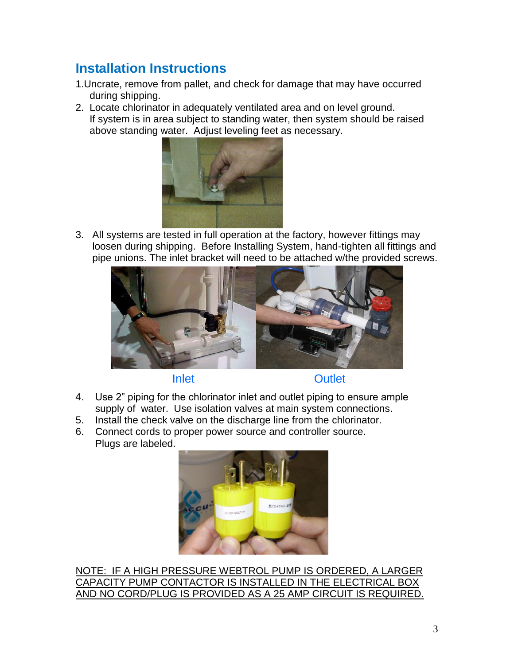### **Installation Instructions**

- 1.Uncrate, remove from pallet, and check for damage that may have occurred during shipping.
- 2. Locate chlorinator in adequately ventilated area and on level ground. If system is in area subject to standing water, then system should be raised above standing water. Adjust leveling feet as necessary.



3. All systems are tested in full operation at the factory, however fittings may loosen during shipping. Before Installing System, hand-tighten all fittings and pipe unions. The inlet bracket will need to be attached w/the provided screws.



Inlet Outlet

- 4. Use 2" piping for the chlorinator inlet and outlet piping to ensure ample supply of water. Use isolation valves at main system connections.
- 5. Install the check valve on the discharge line from the chlorinator.
- 6. Connect cords to proper power source and controller source. Plugs are labeled.



NOTE: IF A HIGH PRESSURE WEBTROL PUMP IS ORDERED, A LARGER CAPACITY PUMP CONTACTOR IS INSTALLED IN THE ELECTRICAL BOX AND NO CORD/PLUG IS PROVIDED AS A 25 AMP CIRCUIT IS REQUIRED.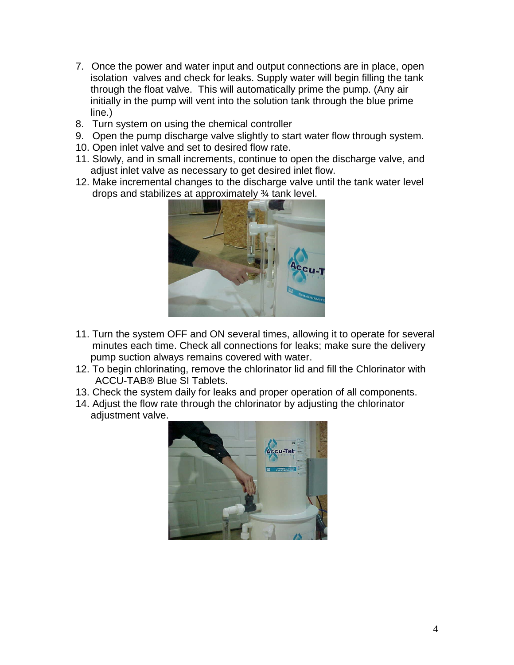- 7. Once the power and water input and output connections are in place, open isolation valves and check for leaks. Supply water will begin filling the tank through the float valve. This will automatically prime the pump. (Any air initially in the pump will vent into the solution tank through the blue prime line.)
- 8. Turn system on using the chemical controller
- 9. Open the pump discharge valve slightly to start water flow through system.
- 10. Open inlet valve and set to desired flow rate.
- 11. Slowly, and in small increments, continue to open the discharge valve, and adjust inlet valve as necessary to get desired inlet flow.
- 12. Make incremental changes to the discharge valve until the tank water level drops and stabilizes at approximately ¾ tank level.



- 11. Turn the system OFF and ON several times, allowing it to operate for several minutes each time. Check all connections for leaks; make sure the delivery pump suction always remains covered with water.
- 12. To begin chlorinating, remove the chlorinator lid and fill the Chlorinator with ACCU-TAB® Blue SI Tablets.
- 13. Check the system daily for leaks and proper operation of all components.
- 14. Adjust the flow rate through the chlorinator by adjusting the chlorinator adjustment valve.

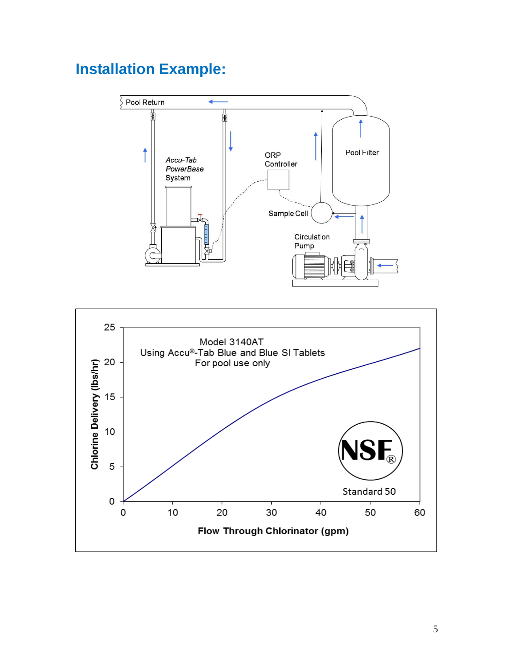## **Installation Example:**



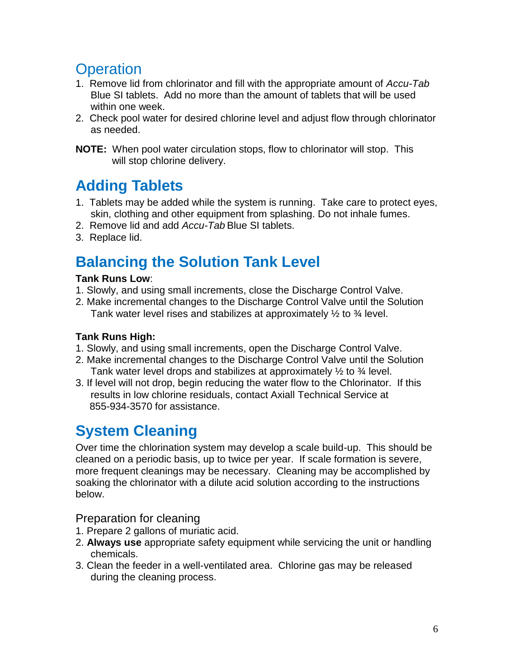### **Operation**

- 1. Remove lid from chlorinator and fill with the appropriate amount of *Accu-Tab* Blue SI tablets. Add no more than the amount of tablets that will be used within one week.
- 2. Check pool water for desired chlorine level and adjust flow through chlorinator as needed.
- **NOTE:** When pool water circulation stops, flow to chlorinator will stop. This will stop chlorine delivery.

## **Adding Tablets**

- 1. Tablets may be added while the system is running. Take care to protect eyes, skin, clothing and other equipment from splashing. Do not inhale fumes.
- 2. Remove lid and add *Accu-Tab* Blue SI tablets.
- 3. Replace lid.

### **Balancing the Solution Tank Level**

#### **Tank Runs Low**:

- 1. Slowly, and using small increments, close the Discharge Control Valve.
- 2. Make incremental changes to the Discharge Control Valve until the Solution Tank water level rises and stabilizes at approximately  $\frac{1}{2}$  to  $\frac{3}{4}$  level.

#### **Tank Runs High:**

- 1. Slowly, and using small increments, open the Discharge Control Valve.
- 2. Make incremental changes to the Discharge Control Valve until the Solution Tank water level drops and stabilizes at approximately  $\frac{1}{2}$  to  $\frac{3}{4}$  level.
- 3. If level will not drop, begin reducing the water flow to the Chlorinator. If this results in low chlorine residuals, contact Axiall Technical Service at 855-934-3570 for assistance.

### **System Cleaning**

Over time the chlorination system may develop a scale build-up. This should be cleaned on a periodic basis, up to twice per year. If scale formation is severe, more frequent cleanings may be necessary. Cleaning may be accomplished by soaking the chlorinator with a dilute acid solution according to the instructions below.

Preparation for cleaning

- 1. Prepare 2 gallons of muriatic acid.
- 2. **Always use** appropriate safety equipment while servicing the unit or handling chemicals.
- 3. Clean the feeder in a well-ventilated area. Chlorine gas may be released during the cleaning process.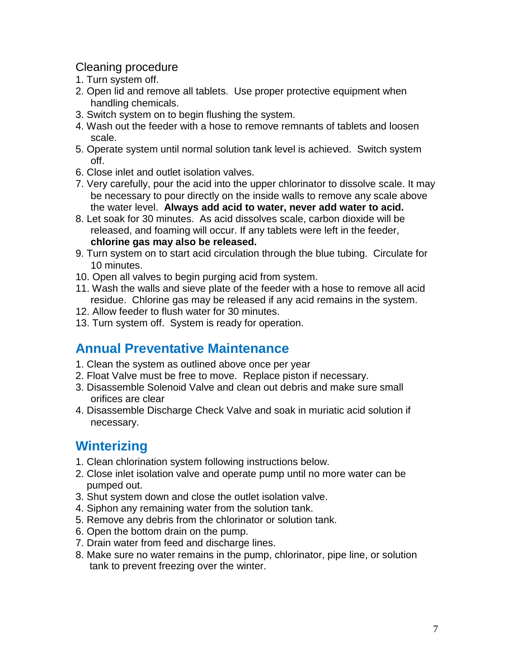#### Cleaning procedure

- 1. Turn system off.
- 2. Open lid and remove all tablets. Use proper protective equipment when handling chemicals.
- 3. Switch system on to begin flushing the system.
- 4. Wash out the feeder with a hose to remove remnants of tablets and loosen scale.
- 5. Operate system until normal solution tank level is achieved. Switch system off.
- 6. Close inlet and outlet isolation valves.
- 7. Very carefully, pour the acid into the upper chlorinator to dissolve scale. It may be necessary to pour directly on the inside walls to remove any scale above the water level. **Always add acid to water, never add water to acid.**
- 8. Let soak for 30 minutes. As acid dissolves scale, carbon dioxide will be released, and foaming will occur. If any tablets were left in the feeder, **chlorine gas may also be released.**
- 9. Turn system on to start acid circulation through the blue tubing. Circulate for 10 minutes.
- 10. Open all valves to begin purging acid from system.
- 11. Wash the walls and sieve plate of the feeder with a hose to remove all acid residue. Chlorine gas may be released if any acid remains in the system.
- 12. Allow feeder to flush water for 30 minutes.
- 13. Turn system off. System is ready for operation.

#### **Annual Preventative Maintenance**

- 1. Clean the system as outlined above once per year
- 2. Float Valve must be free to move. Replace piston if necessary.
- 3. Disassemble Solenoid Valve and clean out debris and make sure small orifices are clear
- 4. Disassemble Discharge Check Valve and soak in muriatic acid solution if necessary.

### **Winterizing**

- 1. Clean chlorination system following instructions below.
- 2. Close inlet isolation valve and operate pump until no more water can be pumped out.
- 3. Shut system down and close the outlet isolation valve.
- 4. Siphon any remaining water from the solution tank.
- 5. Remove any debris from the chlorinator or solution tank.
- 6. Open the bottom drain on the pump.
- 7. Drain water from feed and discharge lines.
- 8. Make sure no water remains in the pump, chlorinator, pipe line, or solution tank to prevent freezing over the winter.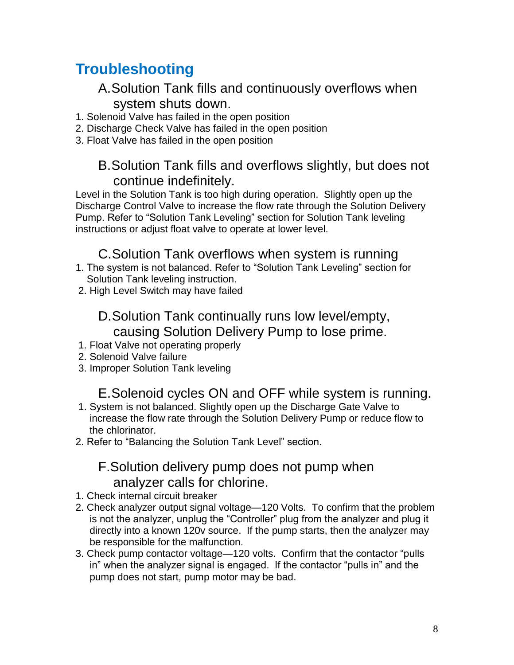### **Troubleshooting**

#### A.Solution Tank fills and continuously overflows when system shuts down.

- 1. Solenoid Valve has failed in the open position
- 2. Discharge Check Valve has failed in the open position
- 3. Float Valve has failed in the open position

#### B.Solution Tank fills and overflows slightly, but does not continue indefinitely.

Level in the Solution Tank is too high during operation. Slightly open up the Discharge Control Valve to increase the flow rate through the Solution Delivery Pump. Refer to "Solution Tank Leveling" section for Solution Tank leveling instructions or adjust float valve to operate at lower level.

#### C.Solution Tank overflows when system is running

- 1. The system is not balanced. Refer to "Solution Tank Leveling" section for Solution Tank leveling instruction.
- 2. High Level Switch may have failed

### D.Solution Tank continually runs low level/empty, causing Solution Delivery Pump to lose prime.

- 1. Float Valve not operating properly
- 2. Solenoid Valve failure
- 3. Improper Solution Tank leveling

#### E.Solenoid cycles ON and OFF while system is running.

- 1. System is not balanced. Slightly open up the Discharge Gate Valve to increase the flow rate through the Solution Delivery Pump or reduce flow to the chlorinator.
- 2. Refer to "Balancing the Solution Tank Level" section.

#### F.Solution delivery pump does not pump when analyzer calls for chlorine.

- 1. Check internal circuit breaker
- 2. Check analyzer output signal voltage—120 Volts. To confirm that the problem is not the analyzer, unplug the "Controller" plug from the analyzer and plug it directly into a known 120v source. If the pump starts, then the analyzer may be responsible for the malfunction.
- 3. Check pump contactor voltage—120 volts. Confirm that the contactor "pulls in" when the analyzer signal is engaged. If the contactor "pulls in" and the pump does not start, pump motor may be bad.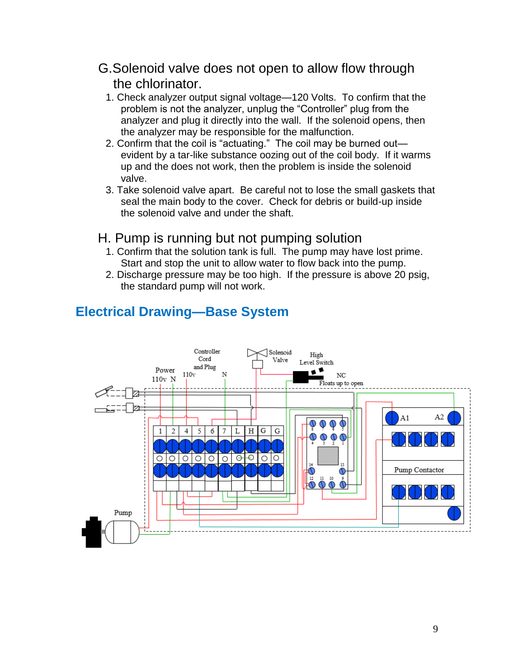- G.Solenoid valve does not open to allow flow through the chlorinator.
	- 1. Check analyzer output signal voltage—120 Volts. To confirm that the problem is not the analyzer, unplug the "Controller" plug from the analyzer and plug it directly into the wall. If the solenoid opens, then the analyzer may be responsible for the malfunction.
	- 2. Confirm that the coil is "actuating." The coil may be burned out evident by a tar-like substance oozing out of the coil body. If it warms up and the does not work, then the problem is inside the solenoid valve.
	- 3. Take solenoid valve apart. Be careful not to lose the small gaskets that seal the main body to the cover. Check for debris or build-up inside the solenoid valve and under the shaft.

#### H. Pump is running but not pumping solution

- 1. Confirm that the solution tank is full. The pump may have lost prime. Start and stop the unit to allow water to flow back into the pump.
- 2. Discharge pressure may be too high. If the pressure is above 20 psig, the standard pump will not work.



### **Electrical Drawing—Base System**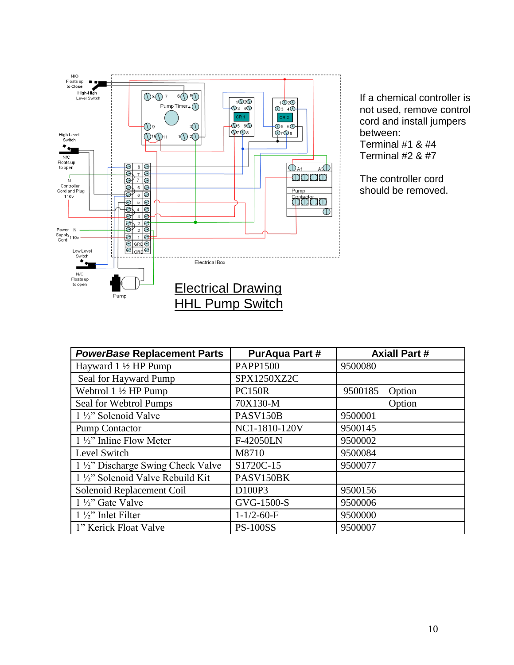

If a chemical controller is not used, remove control cord and install jumpers between: Terminal #1 & #4 Terminal #2 & #7

The controller cord should be removed.

| to open<br>└──<br><b>Electrical Drawing</b> |                        |                      |
|---------------------------------------------|------------------------|----------------------|
| Pump                                        | <b>HHL Pump Switch</b> |                      |
|                                             |                        |                      |
|                                             |                        |                      |
|                                             |                        |                      |
| <b>PowerBase Replacement Parts</b>          | <b>PurAqua Part #</b>  | <b>Axiall Part #</b> |
| Hayward $1\frac{1}{2}$ HP Pump              | <b>PAPP1500</b>        | 9500080              |
| Seal for Hayward Pump                       | SPX1250XZ2C            |                      |
| Webtrol $1\frac{1}{2}$ HP Pump              | <b>PC150R</b>          | 9500185<br>Option    |
| Seal for Webtrol Pumps                      | 70X130-M               | Option               |
| $1\frac{1}{2}$ " Solenoid Valve             | PASV150B               | 9500001              |
| <b>Pump Contactor</b>                       | NC1-1810-120V          | 9500145              |
| $1\frac{1}{2}$ " Inline Flow Meter          | F-42050LN              | 9500002              |
| Level Switch                                | M8710                  | 9500084              |
| 1 1/2" Discharge Swing Check Valve          | S1720C-15              | 9500077              |
| 1 1/2" Solenoid Valve Rebuild Kit           | PASV150BK              |                      |
| Solenoid Replacement Coil                   | D100P3                 | 9500156              |
| $1\frac{1}{2}$ " Gate Valve                 | GVG-1500-S             | 9500006              |
| $1\frac{1}{2}$ " Inlet Filter               | $1 - 1/2 - 60 - F$     | 9500000              |
| 1" Kerick Float Valve                       | <b>PS-100SS</b>        | 9500007              |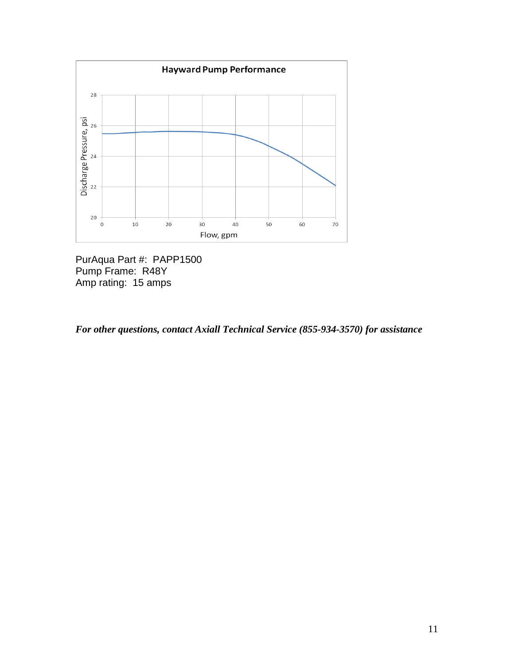

PurAqua Part #: PAPP1500 Pump Frame: R48Y Amp rating: 15 amps

*For other questions, contact Axiall Technical Service (855-934-3570) for assistance*